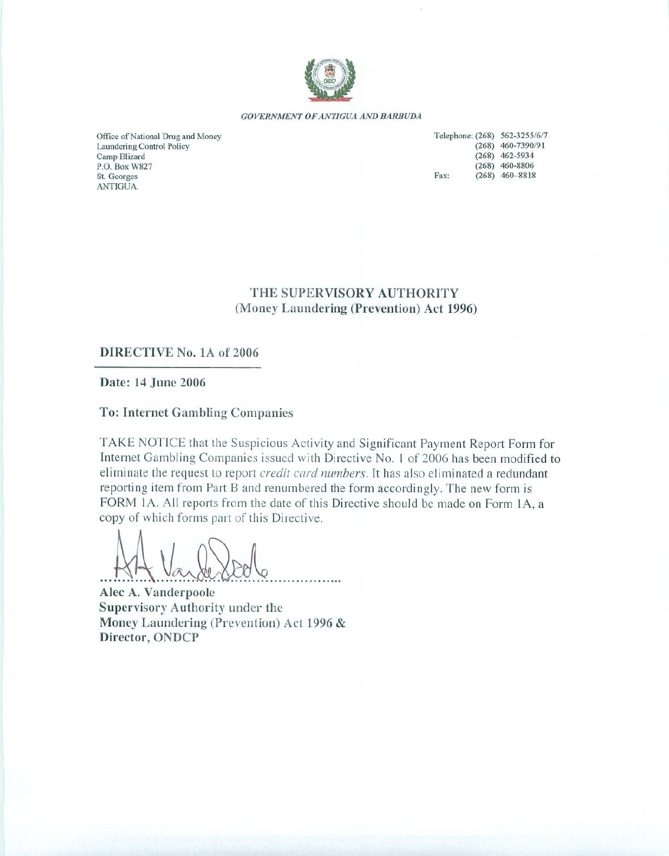

#### GOVERNMENT OF ANTIGUA AND BARBUDA

Office of National Drug and Money Laundering Control Policy Camp Blizard P.O. Box W827 St. Georges ANTIGUA.

|      | Telephone: (268) 562-3255/6/7 |
|------|-------------------------------|
|      | $(268)$ 460-7390/91           |
|      | $(268)$ 462-5934              |
|      | $(268)$ 460-8806              |
| Fax: | $(268)$ 460-8818              |

## THE SUPERVISORY AUTHORITY (Money Laundering (Prevention) Act 1996)

## DIRECTIVE No. 1A of 2006

Date: 14 June 2006

**To: Internet Gambling Companies** 

TAKE NOTICE that the Suspicious Activity and Significant Payment Report Form for Internet Gambling Companies issued with Directive No. 1 of 2006 has been modified to eliminate the request to report credit card numbers. It has also eliminated a redundant reporting item from Part B and renumbered the form accordingly. The new form is FORM 1A. All reports from the date of this Directive should be made on Form 1A, a copy of which forms part of this Directive.

Alec A. Vanderpoole Supervisory Authority under the Money Laundering (Prevention) Act 1996 & Director, ONDCP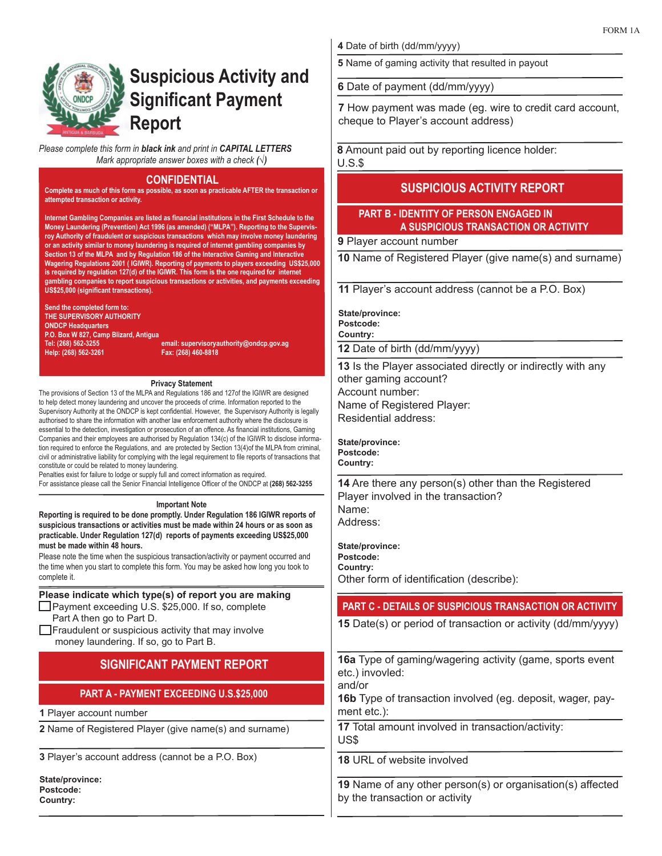

# **Suspicious Activity and Significant Payment Report**

*Please complete this form in black ink and print in CAPITAL LETTERS Mark appropriate answer boxes with a check (√)*

#### **CONFIDENTIAL**

**Complete as much of this form as possible, as soon as practicable AFTER the transaction or attempted transaction or activity.**

**Internet Gambling Companies are listed as financial institutions in the First Schedule to the Money Laundering (Prevention) Act 1996 (as amended) ("MLPA"). Reporting to the Supervisroy Authority of fraudulent or suspicious transactions which may involve money laundering or an activity similar to money laundering is required of internet gambling companies by Section 13 of the MLPA and by Regulation 186 of the Interactive Gaming and Interactive Wagering Regulations 2001 ( IGIWR). Reporting of payments to players exceeding US\$25,000 is required by regulation 127(d) of the IGIWR. This form is the one required for internet gambling companies to report suspicious transactions or activities, and payments exceeding US\$25,000 (significant transactions).** 

**Send the completed form to: THE SUPERVISORY AUTHORITY ONDCP Headquarters P.O. Box W 827, Camp Blizard, Antigua Help: (268) 562-3261 Fax: (268) 460-8818** 

**Tel: (268) 562-3255 email: supervisoryauthority@ondcp.gov.ag**

#### **Privacy Statement**

The provisions of Section 13 of the MLPA and Regulations 186 and 127of the IGIWR are designed to help detect money laundering and uncover the proceeds of crime. Information reported to the Supervisory Authority at the ONDCP is kept confidential. However, the Supervisory Authority is legally authorised to share the information with another law enforcement authority where the disclosure is essential to the detection, investigation or prosecution of an offence. As financial institutions, Gaming Companies and their employees are authorised by Regulation 134(c) of the IGIWR to disclose information required to enforce the Regulations, and are protected by Section 13(4)of the MLPA from criminal, civil or administrative liability for complying with the legal requirement to file reports of transactions that constitute or could be related to money laundering.

Penalties exist for failure to lodge or supply full and correct information as required. For assistance please call the Senior Financial Intelligence Officer of the ONDCP at **(268) 562-3255**

#### **Important Note**

**Reporting is required to be done promptly. Under Regulation 186 IGIWR reports of suspicious transactions or activities must be made within 24 hours or as soon as practicable. Under Regulation 127(d) reports of payments exceeding US\$25,000 must be made within 48 hours.**

Please note the time when the suspicious transaction/activity or payment occurred and the time when you start to complete this form. You may be asked how long you took to complete it.

## **Please indicate which type(s) of report you are making**

Payment exceeding U.S. \$25,000. If so, complete Part A then go to Part D.

 $\Box$  Fraudulent or suspicious activity that may involve money laundering. If so, go to Part B.

## **SIGNIFICANT PAYMENT REPORT**

## **PART A - PAYMENT EXCEEDING U.S.\$25,000**

**1** Player account number

**2** Name of Registered Player (give name(s) and surname)

**3** Player's account address (cannot be a P.O. Box)

**State/province: Postcode: Country:**

**4** Date of birth (dd/mm/yyyy)

**5** Name of gaming activity that resulted in payout

**6** Date of payment (dd/mm/yyyy)

**7** How payment was made (eg. wire to credit card account, cheque to Player's account address)

**8** Amount paid out by reporting licence holder: U.S.\$

## **SUSPICIOUS ACTIVITY REPORT**

### **PART B - IDENTITY OF PERSON ENGAGED IN A SUSPICIOUS TRANSACTION OR ACTIVITY**

**9** Player account number

**10** Name of Registered Player (give name(s) and surname)

**11** Player's account address (cannot be a P.O. Box)

**State/province: Postcode:**

**Country:**

**12** Date of birth (dd/mm/yyyy)

**13** Is the Player associated directly or indirectly with any other gaming account? Account number: Name of Registered Player: Residential address:

**State/province: Postcode: Country:**

**14** Are there any person(s) other than the Registered Player involved in the transaction? Name: Address:

**State/province: Postcode: Country:** Other form of identification (describe):

## **PART C - DETAILS OF SUSPICIOUS TRANSACTION OR ACTIVITY**

**15** Date(s) or period of transaction or activity (dd/mm/yyyy)

**16a** Type of gaming/wagering activity (game, sports event etc.) invovled:

and/or

**16b** Type of transaction involved (eg. deposit, wager, payment etc.):

**17** Total amount involved in transaction/activity: US\$

**18** URL of website involved

**19** Name of any other person(s) or organisation(s) affected by the transaction or activity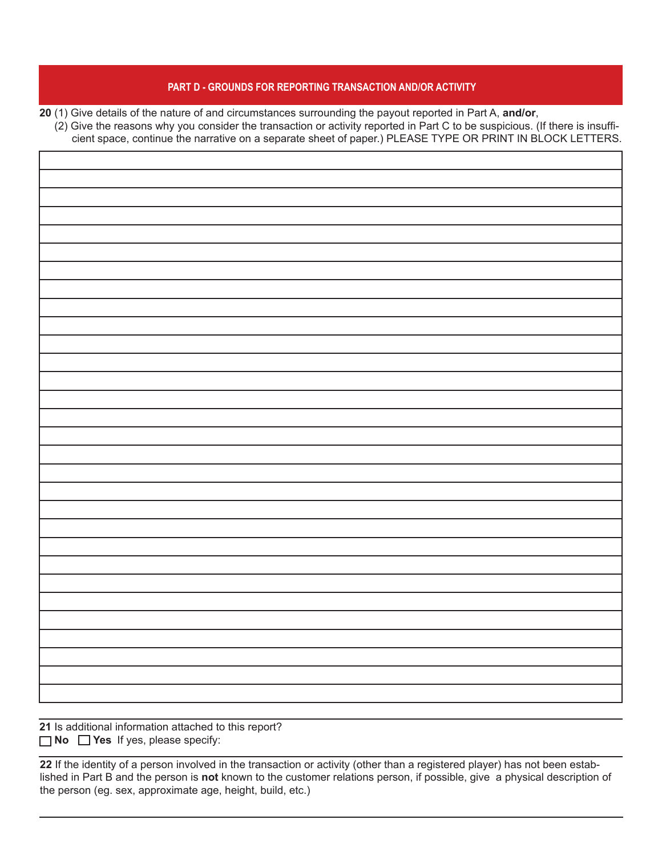### **PART D - GROUNDS FOR REPORTING TRANSACTION AND/OR ACTIVITY**

**20** (1) Give details of the nature of and circumstances surrounding the payout reported in Part A, **and/or**,

 (2) Give the reasons why you consider the transaction or activity reported in Part C to be suspicious. (If there is insufficient space, continue the narrative on a separate sheet of paper.) PLEASE TYPE OR PRINT IN BLOCK LETTERS.

**21** Is additional information attached to this report? **No Yes** If yes, please specify:

**22** If the identity of a person involved in the transaction or activity (other than a registered player) has not been established in Part B and the person is **not** known to the customer relations person, if possible, give a physical description of the person (eg. sex, approximate age, height, build, etc.)